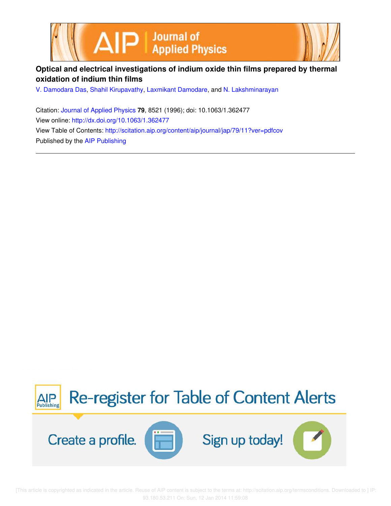



## **Optical and electrical investigations of indium oxide thin films prepared by thermal oxidation of indium thin films**

V. Damodara Das, Shahil Kirupavathy, Laxmikant Damodare, and N. Lakshminarayan

Citation: Journal of Applied Physics **79**, 8521 (1996); doi: 10.1063/1.362477 View online: http://dx.doi.org/10.1063/1.362477 View Table of Contents: http://scitation.aip.org/content/aip/journal/jap/79/11?ver=pdfcov Published by the AIP Publishing



 [This article is copyrighted as indicated in the article. Reuse of AIP content is subject to the terms at: http://scitation.aip.org/termsconditions. Downloaded to ] IP: 93.180.53.211 On: Sun, 12 Jan 2014 11:59:08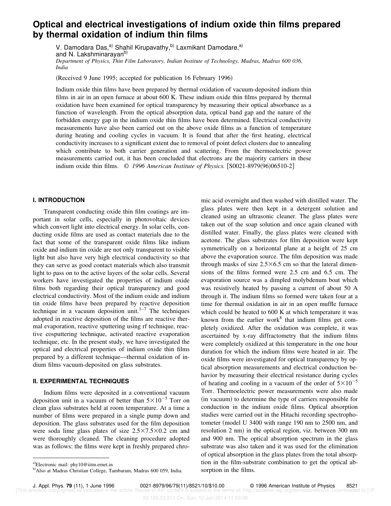# **Optical and electrical investigations of indium oxide thin films prepared by thermal oxidation of indium thin films**

V. Damodara Das,<sup>a)</sup> Shahil Kirupavathy,<sup>b)</sup> Laxmikant Damodare,<sup>a)</sup> and N. Lakshminarayan<sup>b)</sup> *Department of Physics, Thin Film Laboratory, Indian Institute of Technology, Madras, Madras 600 036, India*

(Received 9 June 1995; accepted for publication 16 February 1996)

Indium oxide thin films have been prepared by thermal oxidation of vacuum-deposited indium thin films in air in an open furnace at about 600 K. These indium oxide thin films prepared by thermal oxidation have been examined for optical transparency by measuring their optical absorbance as a function of wavelength. From the optical absorption data, optical band gap and the nature of the forbidden energy gap in the indium oxide thin films have been determined. Electrical conductivity measurements have also been carried out on the above oxide films as a function of temperature during heating and cooling cycles in vacuum. It is found that after the first heating, electrical conductivity increases to a significant extent due to removal of point defect clusters due to annealing which contribute to both carrier generation and scattering. From the thermoelectric power measurements carried out, it has been concluded that electrons are the majority carriers in these indium oxide thin films.  $\degree$  1996 American Institute of Physics.  $[50021-8979(96)06510-2]$ 

## **I. INTRODUCTION**

Transparent conducting oxide thin film coatings are important in solar cells, especially in photovoltaic devices which convert light into electrical energy. In solar cells, conducting oxide films are used as contact materials due to the fact that some of the transparent oxide films like indium oxide and indium tin oxide are not only transparent to visible light but also have very high electrical conductivity so that they can serve as good contact materials which also transmit light to pass on to the active layers of the solar cells. Several workers have investigated the properties of indium oxide films both regarding their optical transparency and good electrical conductivity. Most of the indium oxide and indium tin oxide films have been prepared by reactive deposition technique in a vacuum deposition unit.<sup>1–7</sup> The techniques adopted in reactive deposition of the films are reactive thermal evaporation, reactive sputtering using rf technique, reactive cosputtering technique, activated reactive evaporation technique, etc. In the present study, we have investigated the optical and electrical properties of indium oxide thin films prepared by a different technique—thermal oxidation of indium films vacuum-deposited on glass substrates.

#### **II. EXPERIMENTAL TECHNIQUES**

Indium films were deposited in a conventional vacuum deposition unit in a vacuum of better than  $5\times10^{-5}$  Torr on clean glass substrates held at room temperature. At a time a number of films were prepared in a single pump down and deposition. The glass substrates used for the film deposition were soda lime glass plates of size  $2.5 \times 7.5 \times 0.2$  cm and were thoroughly cleaned. The cleaning procedure adopted was as follows: the films were kept in freshly prepared chromic acid overnight and then washed with distilled water. The glass plates were then kept in a detergent solution and cleaned using an ultrasonic cleaner. The glass plates were taken out of the soap solution and once again cleaned with distilled water. Finally, the glass plates were cleaned with acetone. The glass substrates for film deposition were kept symmetrically on a horizontal plane at a height of 25 cm above the evaporation source. The film deposition was made through masks of size  $2.5\times6.5$  cm so that the lateral dimensions of the films formed were 2.5 cm and 6.5 cm. The evaporation source was a dimpled molybdenum boat which was resistively heated by passing a current of about 50 A through it. The indium films so formed were taken four at a time for thermal oxidation in air in an open muffle furnace which could be heated to 600 K at which temperature it was known from the earlier work $8$  that indium films get completely oxidized. After the oxidation was complete, it was ascertained by x-ray diffractometry that the indium films were completely oxidized at this temperature in the one hour duration for which the indium films were heated in air. The oxide films were investigated for optical transparency by optical absorption measurements and electrical conduction behavior by measuring their electrical resistance during cycles of heating and cooling in a vacuum of the order of  $5\times10^{-5}$ Torr. Thermoelectric power measurements were also made (in vacuum) to determine the type of carriers responsible for conduction in the indium oxide films. Optical absorption studies were carried out in the Hitachi recording spectrophotometer (model U 3400 with range 190 nm to  $2500$  nm, and resolution 2 nm) in the optical region, viz. between 300 nm and 900 nm. The optical absorption spectrum in the glass substrate was also taken and it was used for the elimination of optical absorption in the glass plates from the total absorption in the film-substrate combination to get the optical absorption in the films.

a)Electronic mail: phy10@iitm.ernet.in

b) Also at Madras Christian College, Tambaram, Madras 600 059, India.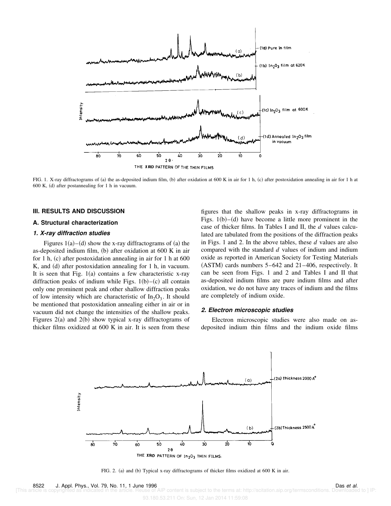

FIG. 1. X-ray diffractograms of (a) the as-deposited indium film, (b) after oxidation at 600 K in air for 1 h, (c) after postoxidation annealing in air for 1 h at 600 K,  $(d)$  after postannealing for 1 h in vacuum.

### **III. RESULTS AND DISCUSSION**

#### **A. Structural characterization**

#### **1. X-ray diffraction studies**

Figures  $1(a)$ –(d) show the x-ray diffractograms of (a) the as-deposited indium film,  $(b)$  after oxidation at 600 K in air for 1 h,  $(c)$  after postoxidation annealing in air for 1 h at 600 K, and  $(d)$  after postoxidation annealing for 1 h, in vacuum. It is seen that Fig.  $1(a)$  contains a few characteristic x-ray diffraction peaks of indium while Figs.  $1(b)–(c)$  all contain only one prominent peak and other shallow diffraction peaks of low intensity which are characteristic of  $In_2O_3$ . It should be mentioned that postoxidation annealing either in air or in vacuum did not change the intensities of the shallow peaks. Figures  $2(a)$  and  $2(b)$  show typical x-ray diffractograms of thicker films oxidized at 600 K in air. It is seen from these figures that the shallow peaks in x-ray diffractograms in Figs.  $1(b)$ –(d) have become a little more prominent in the case of thicker films. In Tables I and II, the *d* values calculated are tabulated from the positions of the diffraction peaks in Figs. 1 and 2. In the above tables, these *d* values are also compared with the standard *d* values of indium and indium oxide as reported in American Society for Testing Materials  $(ASTM)$  cards numbers  $5-642$  and  $21-406$ , respectively. It can be seen from Figs. 1 and 2 and Tables I and II that as-deposited indium films are pure indium films and after oxidation, we do not have any traces of indium and the films are completely of indium oxide.

#### **2. Electron microscopic studies**

Electron microscopic studies were also made on asdeposited indium thin films and the indium oxide films



FIG. 2. (a) and (b) Typical x-ray diffractograms of thicker films oxidized at 600 K in air.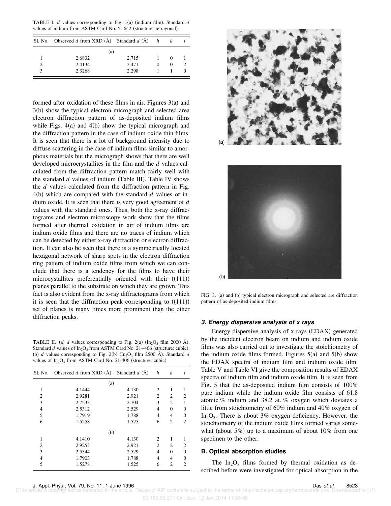TABLE I.  $d$  values corresponding to Fig. 1(a) (indium film). Standard  $d$ values of indium from ASTM Card No. 5-642 (structure: tetragonal).

| Sl. No. Observed d from XRD $(\hat{A})$ Standard d $(\hat{A})$ |       | h |  |
|----------------------------------------------------------------|-------|---|--|
| (a)                                                            |       |   |  |
| 2.6832                                                         | 2.715 |   |  |
| 2.4134                                                         | 2.471 |   |  |
| 2.3268                                                         | 2.298 |   |  |

formed after oxidation of these films in air. Figures  $3(a)$  and  $3(b)$  show the typical electron micrograph and selected area electron diffraction pattern of as-deposited indium films while Figs.  $4(a)$  and  $4(b)$  show the typical micrograph and the diffraction pattern in the case of indium oxide thin films. It is seen that there is a lot of background intensity due to diffuse scattering in the case of indium films similar to amorphous materials but the micrograph shows that there are well developed microcrystallites in the film and the *d* values calculated from the diffraction pattern match fairly well with the standard  $d$  values of indium (Table III). Table IV shows the *d* values calculated from the diffraction pattern in Fig.  $4(b)$  which are compared with the standard  $d$  values of indium oxide. It is seen that there is very good agreement of *d* values with the standard ones. Thus, both the x-ray diffractograms and electron microscopy work show that the films formed after thermal oxidation in air of indium films are indium oxide films and there are no traces of indium which can be detected by either x-ray diffraction or electron diffraction. It can also be seen that there is a symmetrically located hexagonal network of sharp spots in the electron diffraction ring pattern of indium oxide films from which we can conclude that there is a tendency for the films to have their microcystallites preferentially oriented with their  $((111))$ planes parallel to the substrate on which they are grown. This fact is also evident from the x-ray diffractograms from which it is seen that the diffraction peak corresponding to  $((111))$ set of planes is many times more prominent than the other diffraction peaks.

TABLE II. (a) *d* values corresponding to Fig. 2(a)  $(In_2O_3$  film 2000 Å). Standard *d* values of  $In_2O_3$  from ASTM Card No. 21–406 (structure: cubic). (b) *d* values corresponding to Fig. 2(b)  $(In_2O_3$  film 2500 Å). Standard *d* values of  $In_2O_3$  from ASTM Card No. 21-406 (structure: cubic).

| Sl. No.        | Observed d from XRD $(\AA)$ | Standard $d(A)$ | $\boldsymbol{h}$            | k              |                |
|----------------|-----------------------------|-----------------|-----------------------------|----------------|----------------|
|                | (a)                         |                 |                             |                |                |
| 1              | 4.1444                      | 4.130           | 2                           | 1              |                |
| $\overline{c}$ | 2.9281                      | 2.921           | $\overline{c}$              | $\overline{c}$ | $\overline{c}$ |
| 3              | 2.7233                      | 2.704           | 3                           | $\overline{c}$ |                |
| 4              | 2.5312                      | 2.529           | 4                           | $\Omega$       | 0              |
| 5              | 1.7919                      | 1.788           | 4                           | $\overline{4}$ | 0              |
| 6              | 1.5258                      | 1.525           | 6                           | $\overline{c}$ | $\mathfrak{D}$ |
| (b)            |                             |                 |                             |                |                |
| 1              | 4.1410                      | 4.130           | $\mathcal{D}_{\mathcal{L}}$ | 1              | 1              |
| $\overline{c}$ | 2.9253                      | 2.921           | $\overline{c}$              | $\overline{c}$ | 2              |
| 3              | 2.5344                      | 2.529           | $\overline{4}$              | $\Omega$       | $\theta$       |
| 4              | 1.7903                      | 1.788           | $\overline{4}$              | $\overline{4}$ | 0              |
| 5              | 1.5278                      | 1.525           | 6                           | $\overline{2}$ | $\overline{c}$ |



FIG. 3. (a) and (b) typical electron micrograph and selected are diffraction pattern of as-deposited indium films.

### **3. Energy dispersive analysis of <sup>x</sup> rays**

Energy dispersive analysis of  $x$  rays  $(EDAX)$  generated by the incident electron beam on indium and indium oxide films was also carried out to investigate the stoichiometry of the indium oxide films formed. Figures  $5(a)$  and  $5(b)$  show the EDAX spectra of indium film and indium oxide film. Table V and Table VI give the composition results of EDAX spectra of indium film and indium oxide film. It is seen from Fig. 5 that the as-deposited indium film consists of 100% pure indium while the indium oxide film consists of 61.8 atomic % indium and 38.2 at. % oxygen which deviates a little from stoichiometry of 60% indium and 40% oxygen of In<sub>2</sub>O<sub>3</sub>. There is about 3% oxygen deficiency. However, the stoichiometry of the indium oxide films formed varies somewhat (about  $5\%$ ) up to a maximum of about  $10\%$  from one specimen to the other.

#### **B. Optical absorption studies**

The  $In_2O_3$  films formed by thermal oxidation as described before were investigated for optical absorption in the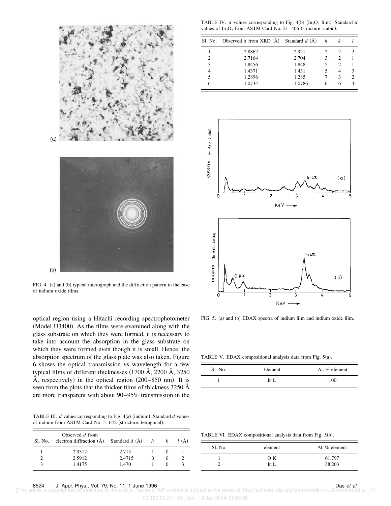

FIG. 4. (a) and (b) typical micrograph and the diffraction pattern in the case of indium oxide films.

optical region using a Hitachi recording spectrophotometer (Model U3400). As the films were examined along with the glass substrate on which they were formed, it is necessary to take into account the absorption in the glass substrate on which they were formed even though it is small. Hence, the absorption spectrum of the glass plate was also taken. Figure 6 shows the optical transmission vs wavelength for a few typical films of different thicknesses  $(1700 \text{ Å}, 2200 \text{ Å}, 3250$ Å, respectively) in the optical region  $(200-850 \text{ nm})$ . It is seen from the plots that the thicker films of thickness 3250 Å are more transparent with about 90–95% transmission in the

TABLE III.  $d$  values corresponding to Fig.  $4(a)$  (indium). Standard  $d$  values of indium from ASTM Card No. 5-642 (structure: tetragonal).

| Sl. No. | Observed d from<br>electron diffraction $(\AA)$ | Standard $d(\AA)$ h | $\boldsymbol{k}$ |  |
|---------|-------------------------------------------------|---------------------|------------------|--|
|         | 2.9312                                          | 2.715               |                  |  |
|         | 2.5912                                          | 2.4715              | $\mathbf{0}$     |  |
|         | 1.4175                                          | 1.470               |                  |  |

TABLE IV. *d* values corresponding to Fig. 4(b)  $(In_2O_3$  film). Standard *d* values of  $In_2O_3$  from ASTM Card No. 21–406 (structure: cubic).

| Sl. No. | Observed d from XRD $(\AA)$ Standard d $(\AA)$ |        | h |                             |   |
|---------|------------------------------------------------|--------|---|-----------------------------|---|
|         | 2.8862                                         | 2.921  |   | $\mathcal{D}_{\mathcal{L}}$ |   |
| っ       | 2.7164                                         | 2.704  | 3 | $\mathcal{D}_{\mathcal{L}}$ |   |
| 3       | 1.8456                                         | 1.848  | 5 | $\mathcal{D}_{\mathcal{L}}$ |   |
| 4       | 1.4371                                         | 1.431  | 5 | 4                           | 3 |
| 5       | 1.2896                                         | 1.285  |   | 3                           |   |
| 6       | 1.0734                                         | 1.0786 | 6 | 6                           |   |



FIG. 5. (a) and (b) EDAX spectra of indium film and indium oxide film.

TABLE V. EDAX compositional analysis data from Fig.  $5(a)$ .

| Sl. No. | Element | At. % element |
|---------|---------|---------------|
|         | ln.     | 100           |

TABLE VI. EDAX compositional analysis data from Fig. 5(b).

| Sl. No. | element | At. % element |
|---------|---------|---------------|
|         | O K     | 61.797        |
|         | ln L    | 38.203        |

AIP content is subject to the terms at: http://scitation.aip.org/termsconditions. Downloaded to ] IP 93.180.53.211 On: Sun, 12 Jan 2014 11:59:08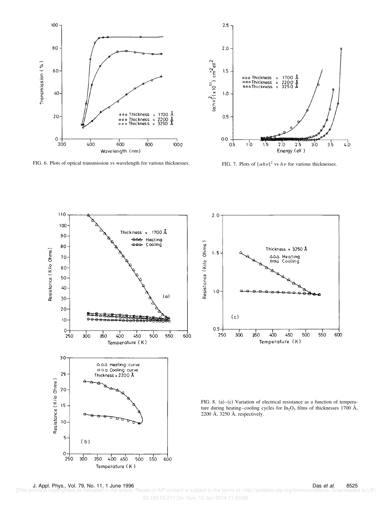

FIG. 6. Plots of optical transmission vs wavelength for various thicknesses.



 $^{2}$  vs  $h\nu$  for various thicknesses.





FIG. 8.  $(a)$ – $(c)$  Variation of electrical resistance as a function of temperature during heating–cooling cycles for  $In_2O_3$  films of thicknesses 1700 Å, 2200 Å, 3250 Å, respectively.

93.180.53.211 On: Sun, 12 Jan 2014 11:59:08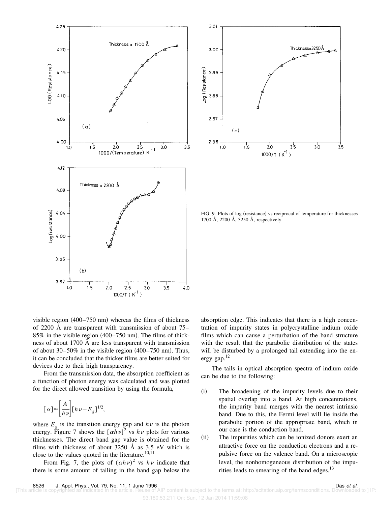



FIG. 9. Plots of log (resistance) vs reciprocal of temperature for thicknesses 1700 Å, 2200 Å, 3250 Å, respectively.

visible region  $(400-750 \text{ nm})$  whereas the films of thickness of 2200 Å are transparent with transmission of about 75–  $85\%$  in the visible region  $(400-750 \text{ nm})$ . The films of thickness of about 1700 Å are less transparent with transmission of about  $30-50\%$  in the visible region  $(400-750 \text{ nm})$ . Thus, it can be concluded that the thicker films are better suited for devices due to their high transparency.

From the transmission data, the absorption coefficient as a function of photon energy was calculated and was plotted for the direct allowed transition by using the formula,

$$
[\alpha] \approx \left[\frac{A}{h\nu}\right] [h\nu - E_g]^{1/2},
$$

where  $E_g$  is the transition energy gap and  $h\nu$  is the photon energy. Figure 7 shows the  $\left[\alpha h\nu\right]^2$  vs  $h\nu$  plots for various thicknesses. The direct band gap value is obtained for the films with thickness of about  $3250$  Å as  $3.5$  eV which is close to the values quoted in the literature. $10,11$ 

From Fig. 7, the plots of  $(\alpha h \nu)^2$  vs  $h \nu$  indicate that there is some amount of tailing in the band gap below the absorption edge. This indicates that there is a high concentration of impurity states in polycrystalline indium oxide films which can cause a perturbation of the band structure with the result that the parabolic distribution of the states will be disturbed by a prolonged tail extending into the energy gap.<sup>12</sup>

The tails in optical absorption spectra of indium oxide can be due to the following:

- (i) The broadening of the impurity levels due to their spatial overlap into a band. At high concentrations, the impurity band merges with the nearest intrinsic band. Due to this, the Fermi level will lie inside the parabolic portion of the appropriate band, which in our case is the conduction band.
- (ii) The impurities which can be ionized donors exert an attractive force on the conduction electrons and a repulsive force on the valence band. On a microscopic level, the nonhomogeneous distribution of the impurities leads to smearing of the band edges. $^{13}$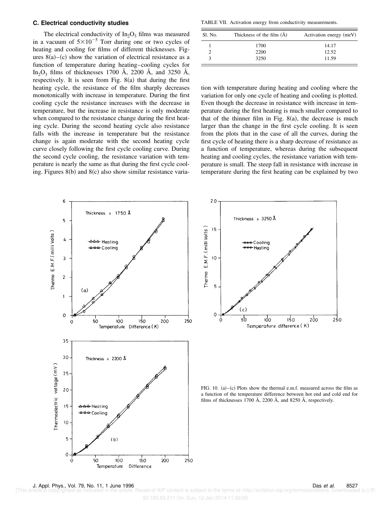#### **C. Electrical conductivity studies**

The electrical conductivity of  $In_2O_3$  films was measured in a vacuum of  $5\times10^{-5}$  Torr during one or two cycles of heating and cooling for films of different thicknesses. Figures  $8(a)$ –(c) show the variation of electrical resistance as a function of temperature during heating–cooling cycles for In<sub>2</sub>O<sub>3</sub> films of thicknesses 1700 Å, 2200 Å, and 3250 Å, respectively. It is seen from Fig.  $8(a)$  that during the first heating cycle, the resistance of the film sharply decreases monotonically with increase in temperature. During the first cooling cycle the resistance increases with the decrease in temperature, but the increase in resistance is only moderate when compared to the resistance change during the first heating cycle. During the second heating cycle also resistance falls with the increase in temperature but the resistance change is again moderate with the second heating cycle curve closely following the first cycle cooling curve. During the second cycle cooling, the resistance variation with temperature is nearly the same as that during the first cycle cooling. Figures  $8(b)$  and  $8(c)$  also show similar resistance varia-

TABLE VII. Activation energy from conductivity measurements.

| Sl. No. | Thickness of the film $(\AA)$ | Activation energy (meV) |
|---------|-------------------------------|-------------------------|
|         | 1700                          | 14.17                   |
|         | 2200                          | 12.52                   |
|         | 3250                          | 11.59                   |

tion with temperature during heating and cooling where the variation for only one cycle of heating and cooling is plotted. Even though the decrease in resistance with increase in temperature during the first heating is much smaller compared to that of the thinner film in Fig.  $8(a)$ , the decrease is much larger than the change in the first cycle cooling. It is seen from the plots that in the case of all the curves, during the first cycle of heating there is a sharp decrease of resistance as a function of temperature, whereas during the subsequent heating and cooling cycles, the resistance variation with temperature is small. The steep fall in resistance with increase in temperature during the first heating can be explained by two



 $250$ 

93.180.53.211 On: Sun, 12 Jan 2014 11:59:08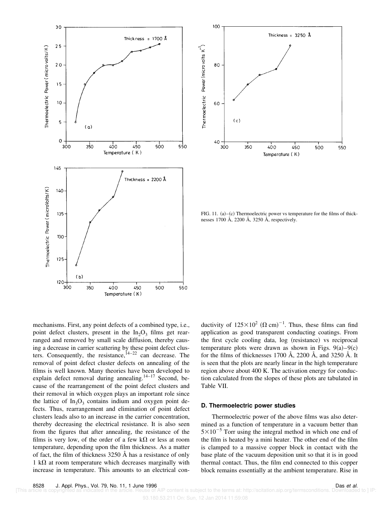



FIG. 11.  $(a)$ – $(c)$  Thermoelectric power vs temperature for the films of thicknesses 1700 Å, 2200 Å, 3250 Å, respectively.

mechanisms. First, any point defects of a combined type, i.e., point defect clusters, present in the  $In_2O_3$  films get rearranged and removed by small scale diffusion, thereby causing a decrease in carrier scattering by these point defect clusters. Consequently, the resistance,  $14-22$  can decrease. The removal of point defect cluster defects on annealing of the films is well known. Many theories have been developed to explain defect removal during annealing.<sup>14-17</sup> Second, because of the rearrangement of the point defect clusters and their removal in which oxygen plays an important role since the lattice of  $In<sub>3</sub>O<sub>3</sub>$  contains indium and oxygen point defects. Thus, rearrangement and elimination of point defect clusters leads also to an increase in the carrier concentration, thereby decreasing the electrical resistance. It is also seen from the figures that after annealing, the resistance of the films is very low, of the order of a few  $k\Omega$  or less at room temperature, depending upon the film thickness. As a matter of fact, the film of thickness 3250 Å has a resistance of only 1 k $\Omega$  at room temperature which decreases marginally with increase in temperature. This amounts to an electrical con-

ductivity of  $125 \times 10^2$  ( $\Omega$  cm)<sup>-1</sup>. Thus, these films can find application as good transparent conducting coatings. From the first cycle cooling data, log (resistance) vs reciprocal temperature plots were drawn as shown in Figs.  $9(a) - 9(c)$ for the films of thicknesses 1700 Å, 2200 Å, and 3250 Å. It is seen that the plots are nearly linear in the high temperature region above about 400 K. The activation energy for conduction calculated from the slopes of these plots are tabulated in Table VII.

#### **D. Thermoelectric power studies**

Thermoelectric power of the above films was also determined as a function of temperature in a vacuum better than  $5\times10^{-5}$  Torr using the integral method in which one end of the film is heated by a mini heater. The other end of the film is clamped to a massive copper block in contact with the base plate of the vacuum deposition unit so that it is in good thermal contact. Thus, the film end connected to this copper block remains essentially at the ambient temperature. Rise in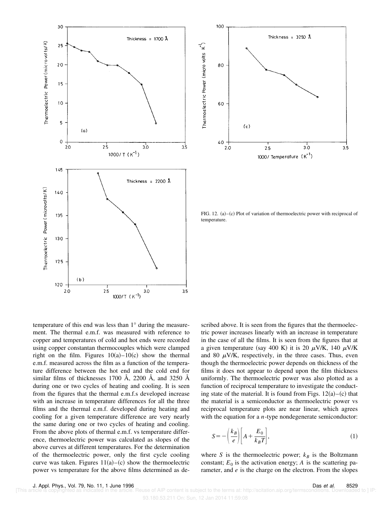



FIG. 12.  $(a)$ – $(c)$  Plot of variation of thermoelectric power with reciprocal of temperature.

temperature of this end was less than 1° during the measurement. The thermal e.m.f. was measured with reference to copper and temperatures of cold and hot ends were recorded using copper constantan thermocouples which were clamped right on the film. Figures  $10(a)-10(c)$  show the thermal e.m.f. measured across the film as a function of the temperature difference between the hot end and the cold end for similar films of thicknesses 1700 Å, 2200 Å, and 3250 Å during one or two cycles of heating and cooling. It is seen from the figures that the thermal e.m.f.s developed increase with an increase in temperature differences for all the three films and the thermal e.m.f. developed during heating and cooling for a given temperature difference are very nearly the same during one or two cycles of heating and cooling. From the above plots of thermal e.m.f. vs temperature difference, thermoelectric power was calculated as slopes of the above curves at different temperatures. For the determination of the thermoelectric power, only the first cycle cooling curve was taken. Figures  $11(a)–(c)$  show the thermoelectric power vs temperature for the above films determined as described above. It is seen from the figures that the thermoelectric power increases linearly with an increase in temperature in the case of all the films. It is seen from the figures that at a given temperature (say 400 K) it is 20  $\mu$ V/K, 140  $\mu$ V/K and 80  $\mu$ V/K, respectively, in the three cases. Thus, even though the thermoelectric power depends on thickness of the films it does not appear to depend upon the film thickness uniformly. The thermoelectric power was also plotted as a function of reciprocal temperature to investigate the conducting state of the material. It is found from Figs.  $12(a)–(c)$  that the material is a semiconductor as thermoelectric power vs reciprocal temperature plots are near linear, which agrees with the equation for a *n*-type nondegenerate semiconductor:

$$
S = -\left(\frac{k_B}{e}\right)\left[A + \frac{E_0}{k_B T}\right],\tag{1}
$$

where *S* is the thermoelectric power;  $k_B$  is the Boltzmann constant;  $E_0$  is the activation energy; *A* is the scattering parameter, and *e* is the charge on the electron. From the slopes